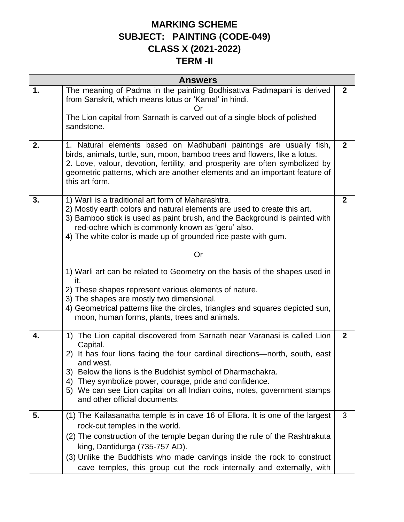## **MARKING SCHEME SUBJECT: PAINTING (CODE-049) CLASS X (2021-2022)**

## **TERM -II**

| <b>Answers</b> |                                                                                                                                                                                                                                                                                                                                                                                                                              |              |  |
|----------------|------------------------------------------------------------------------------------------------------------------------------------------------------------------------------------------------------------------------------------------------------------------------------------------------------------------------------------------------------------------------------------------------------------------------------|--------------|--|
| 1.             | The meaning of Padma in the painting Bodhisattva Padmapani is derived<br>from Sanskrit, which means lotus or 'Kamal' in hindi.<br>Or                                                                                                                                                                                                                                                                                         | $\mathbf{2}$ |  |
|                | The Lion capital from Sarnath is carved out of a single block of polished<br>sandstone.                                                                                                                                                                                                                                                                                                                                      |              |  |
| 2.             | 1. Natural elements based on Madhubani paintings are usually fish,<br>birds, animals, turtle, sun, moon, bamboo trees and flowers, like a lotus.<br>2. Love, valour, devotion, fertility, and prosperity are often symbolized by<br>geometric patterns, which are another elements and an important feature of<br>this art form.                                                                                             | $\mathbf{2}$ |  |
| 3.             | 1) Warli is a traditional art form of Maharashtra.<br>2) Mostly earth colors and natural elements are used to create this art.<br>3) Bamboo stick is used as paint brush, and the Background is painted with<br>red-ochre which is commonly known as 'geru' also.<br>4) The white color is made up of grounded rice paste with gum.                                                                                          | $\mathbf{2}$ |  |
|                | Or                                                                                                                                                                                                                                                                                                                                                                                                                           |              |  |
|                | 1) Warli art can be related to Geometry on the basis of the shapes used in<br>it.                                                                                                                                                                                                                                                                                                                                            |              |  |
|                | 2) These shapes represent various elements of nature.<br>3) The shapes are mostly two dimensional.<br>4) Geometrical patterns like the circles, triangles and squares depicted sun,<br>moon, human forms, plants, trees and animals.                                                                                                                                                                                         |              |  |
| 4.             | 1) The Lion capital discovered from Sarnath near Varanasi is called Lion<br>Capital.<br>2) It has four lions facing the four cardinal directions—north, south, east<br>and west.<br>3) Below the lions is the Buddhist symbol of Dharmachakra.<br>They symbolize power, courage, pride and confidence.<br>4)<br>We can see Lion capital on all Indian coins, notes, government stamps<br>5)<br>and other official documents. | $\mathbf{2}$ |  |
| 5.             | (1) The Kailasanatha temple is in cave 16 of Ellora. It is one of the largest<br>rock-cut temples in the world.<br>(2) The construction of the temple began during the rule of the Rashtrakuta<br>king, Dantidurga (735-757 AD).<br>(3) Unlike the Buddhists who made carvings inside the rock to construct<br>cave temples, this group cut the rock internally and externally, with                                         | 3            |  |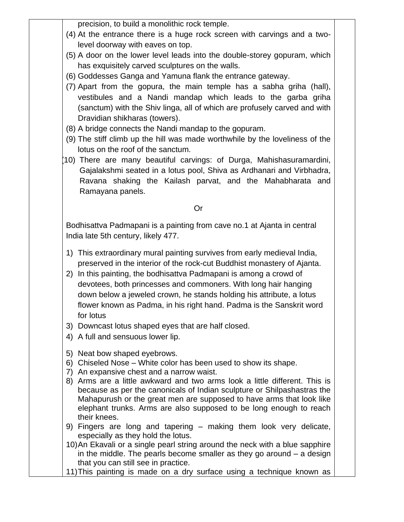precision, to build a monolithic rock temple.

- (4) At the entrance there is a huge rock screen with carvings and a twolevel doorway with eaves on top.
- (5) A door on the lower level leads into the double-storey gopuram, which has exquisitely carved sculptures on the walls.
- (6) Goddesses Ganga and Yamuna flank the entrance gateway.
- (7) Apart from the gopura, the main temple has a sabha griha (hall), vestibules and a Nandi mandap which leads to the garba griha (sanctum) with the Shiv linga, all of which are profusely carved and with Dravidian shikharas (towers).
- (8) A bridge connects the Nandi mandap to the gopuram.
- (9) The stiff climb up the hill was made worthwhile by the loveliness of the lotus on the roof of the sanctum.
- (10) There are many beautiful carvings: of Durga, Mahishasuramardini, Gajalakshmi seated in a lotus pool, Shiva as Ardhanari and Virbhadra, Ravana shaking the Kailash parvat, and the Mahabharata and Ramayana panels.

## Or

Bodhisattva Padmapani is a painting from cave no.1 at Ajanta in central India late 5th century, likely 477.

- 1) This extraordinary mural painting survives from early medieval India, preserved in the interior of the rock-cut Buddhist monastery of Ajanta.
- 2) In this painting, the bodhisattva Padmapani is among a crowd of devotees, both princesses and commoners. With long hair hanging down below a jeweled crown, he stands holding his attribute, a lotus flower known as Padma, in his right hand. Padma is the Sanskrit word for lotus
- 3) Downcast lotus shaped eyes that are half closed.
- 4) A full and sensuous lower lip.
- 5) Neat bow shaped eyebrows.
- 6) Chiseled Nose White color has been used to show its shape.
- 7) An expansive chest and a narrow waist.
- 8) Arms are a little awkward and two arms look a little different. This is because as per the canonicals of Indian sculpture or Shilpashastras the Mahapurush or the great men are supposed to have arms that look like elephant trunks. Arms are also supposed to be long enough to reach their knees.
- 9) Fingers are long and tapering making them look very delicate, especially as they hold the lotus.
- 10)An Ekavali or a single pearl string around the neck with a blue sapphire in the middle. The pearls become smaller as they go around – a design that you can still see in practice.
- 11)This painting is made on a dry surface using a technique known as